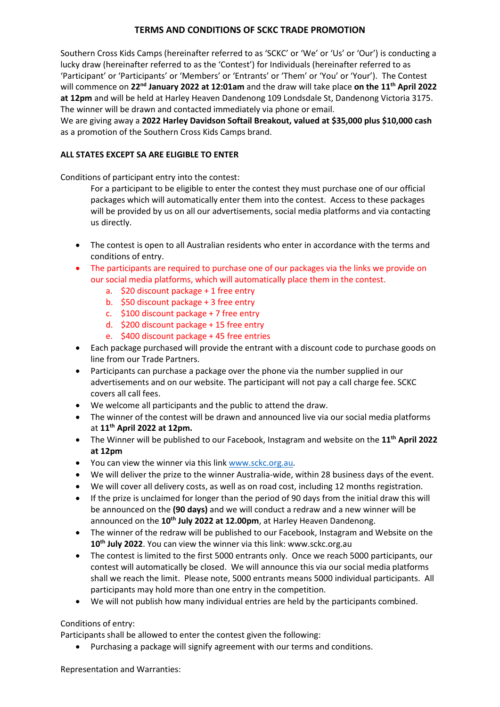## **TERMS AND CONDITIONS OF SCKC TRADE PROMOTION**

Southern Cross Kids Camps (hereinafter referred to as 'SCKC' or 'We' or 'Us' or 'Our') is conducting a lucky draw (hereinafter referred to as the 'Contest') for Individuals (hereinafter referred to as 'Participant' or 'Participants' or 'Members' or 'Entrants' or 'Them' or 'You' or 'Your'). The Contest will commence on **22 nd January 2022 at 12:01am** and the draw will take place **on the 11 th April 2022 at 12pm** and will be held at Harley Heaven Dandenong 109 Londsdale St, Dandenong Victoria 3175. The winner will be drawn and contacted immediately via phone or email.

We are giving away a **2022 Harley Davidson Softail Breakout, valued at \$35,000 plus \$10,000 cash**  as a promotion of the Southern Cross Kids Camps brand.

## **ALL STATES EXCEPT SA ARE ELIGIBLE TO ENTER**

Conditions of participant entry into the contest:

For a participant to be eligible to enter the contest they must purchase one of our official packages which will automatically enter them into the contest. Access to these packages will be provided by us on all our advertisements, social media platforms and via contacting us directly.

- The contest is open to all Australian residents who enter in accordance with the terms and conditions of entry.
- The participants are required to purchase one of our packages via the links we provide on our social media platforms, which will automatically place them in the contest.
	- a. \$20 discount package + 1 free entry
	- b. \$50 discount package + 3 free entry
	- c. \$100 discount package + 7 free entry
	- d. \$200 discount package + 15 free entry
	- e. \$400 discount package + 45 free entries
- Each package purchased will provide the entrant with a discount code to purchase goods on line from our Trade Partners.
- Participants can purchase a package over the phone via the number supplied in our advertisements and on our website. The participant will not pay a call charge fee. SCKC covers all call fees.
- We welcome all participants and the public to attend the draw.
- The winner of the contest will be drawn and announced live via our social media platforms at **11 th April 2022 at 12pm.**
- The Winner will be published to our Facebook, Instagram and website on the **11 th April 2022 at 12pm**
- You can view the winner via this link [www.sckc.org.au.](http://www.sckc.org.au/)
- We will deliver the prize to the winner Australia-wide, within 28 business days of the event.
- We will cover all delivery costs, as well as on road cost, including 12 months registration.
- If the prize is unclaimed for longer than the period of 90 days from the initial draw this will be announced on the **(90 days)** and we will conduct a redraw and a new winner will be announced on the **10 th July 2022 at 12.00pm**, at Harley Heaven Dandenong.
- The winner of the redraw will be published to our Facebook, Instagram and Website on the **10 th July 2022**. You can view the winner via this link: www.sckc.org.au
- The contest is limited to the first 5000 entrants only. Once we reach 5000 participants, our contest will automatically be closed. We will announce this via our social media platforms shall we reach the limit. Please note, 5000 entrants means 5000 individual participants. All participants may hold more than one entry in the competition.
- We will not publish how many individual entries are held by the participants combined.

## Conditions of entry:

Participants shall be allowed to enter the contest given the following:

• Purchasing a package will signify agreement with our terms and conditions.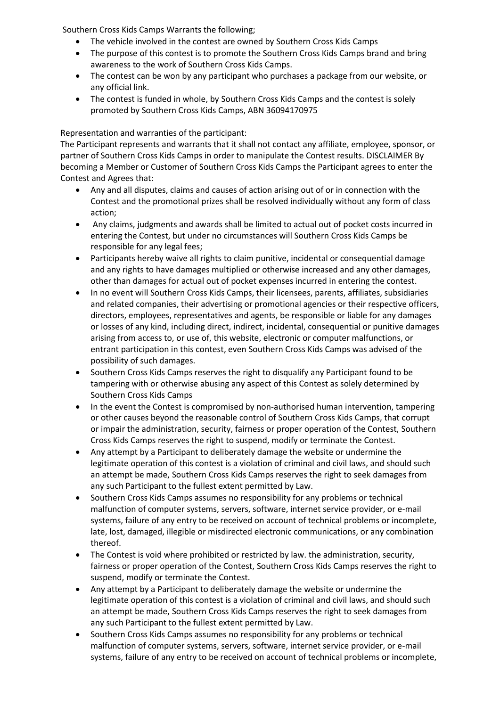Southern Cross Kids Camps Warrants the following;

- The vehicle involved in the contest are owned by Southern Cross Kids Camps
- The purpose of this contest is to promote the Southern Cross Kids Camps brand and bring awareness to the work of Southern Cross Kids Camps.
- The contest can be won by any participant who purchases a package from our website, or any official link.
- The contest is funded in whole, by Southern Cross Kids Camps and the contest is solely promoted by Southern Cross Kids Camps, ABN 36094170975

## Representation and warranties of the participant:

The Participant represents and warrants that it shall not contact any affiliate, employee, sponsor, or partner of Southern Cross Kids Camps in order to manipulate the Contest results. DISCLAIMER By becoming a Member or Customer of Southern Cross Kids Camps the Participant agrees to enter the Contest and Agrees that:

- Any and all disputes, claims and causes of action arising out of or in connection with the Contest and the promotional prizes shall be resolved individually without any form of class action;
- Any claims, judgments and awards shall be limited to actual out of pocket costs incurred in entering the Contest, but under no circumstances will Southern Cross Kids Camps be responsible for any legal fees;
- Participants hereby waive all rights to claim punitive, incidental or consequential damage and any rights to have damages multiplied or otherwise increased and any other damages, other than damages for actual out of pocket expenses incurred in entering the contest.
- In no event will Southern Cross Kids Camps, their licensees, parents, affiliates, subsidiaries and related companies, their advertising or promotional agencies or their respective officers, directors, employees, representatives and agents, be responsible or liable for any damages or losses of any kind, including direct, indirect, incidental, consequential or punitive damages arising from access to, or use of, this website, electronic or computer malfunctions, or entrant participation in this contest, even Southern Cross Kids Camps was advised of the possibility of such damages.
- Southern Cross Kids Camps reserves the right to disqualify any Participant found to be tampering with or otherwise abusing any aspect of this Contest as solely determined by Southern Cross Kids Camps
- In the event the Contest is compromised by non-authorised human intervention, tampering or other causes beyond the reasonable control of Southern Cross Kids Camps, that corrupt or impair the administration, security, fairness or proper operation of the Contest, Southern Cross Kids Camps reserves the right to suspend, modify or terminate the Contest.
- Any attempt by a Participant to deliberately damage the website or undermine the legitimate operation of this contest is a violation of criminal and civil laws, and should such an attempt be made, Southern Cross Kids Camps reserves the right to seek damages from any such Participant to the fullest extent permitted by Law.
- Southern Cross Kids Camps assumes no responsibility for any problems or technical malfunction of computer systems, servers, software, internet service provider, or e-mail systems, failure of any entry to be received on account of technical problems or incomplete, late, lost, damaged, illegible or misdirected electronic communications, or any combination thereof.
- The Contest is void where prohibited or restricted by law. the administration, security, fairness or proper operation of the Contest, Southern Cross Kids Camps reserves the right to suspend, modify or terminate the Contest.
- Any attempt by a Participant to deliberately damage the website or undermine the legitimate operation of this contest is a violation of criminal and civil laws, and should such an attempt be made, Southern Cross Kids Camps reserves the right to seek damages from any such Participant to the fullest extent permitted by Law.
- Southern Cross Kids Camps assumes no responsibility for any problems or technical malfunction of computer systems, servers, software, internet service provider, or e-mail systems, failure of any entry to be received on account of technical problems or incomplete,